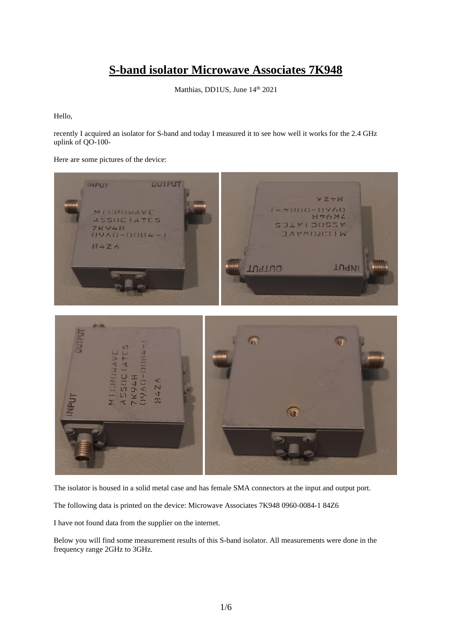## **S-band isolator Microwave Associates 7K948**

Matthias, DD1US, June 14th 2021

Hello,

recently I acquired an isolator for S-band and today I measured it to see how well it works for the 2.4 GHz uplink of QO-100-

Here are some pictures of the device:



The isolator is housed in a solid metal case and has female SMA connectors at the input and output port.

The following data is printed on the device: Microwave Associates 7K948 0960-0084-1 84Z6

I have not found data from the supplier on the internet.

Below you will find some measurement results of this S-band isolator. All measurements were done in the frequency range 2GHz to 3GHz.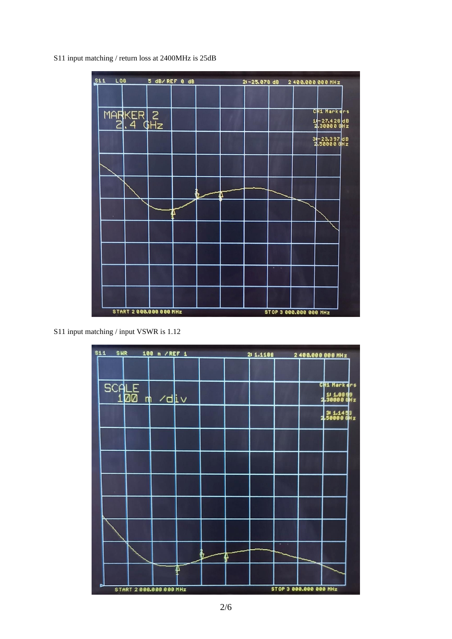S11 input matching / return loss at 2400MHz is 25dB



S11 input matching / input VSWR is 1.12

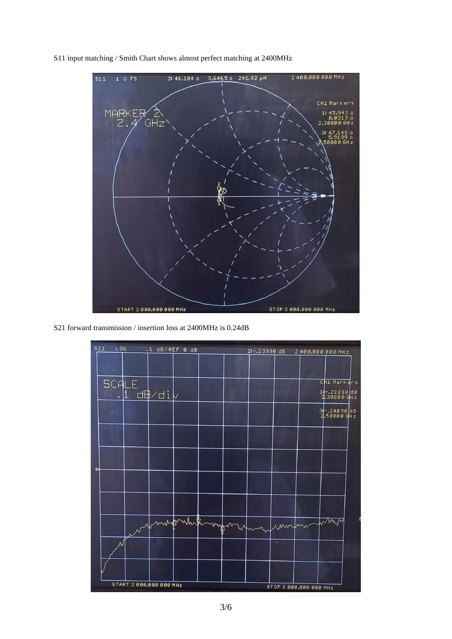S11 input matching / Smith Chart shows almost perfect matching at 2400MHz



S21 forward transmission / insertion loss at 2400MHz is 0.24dB

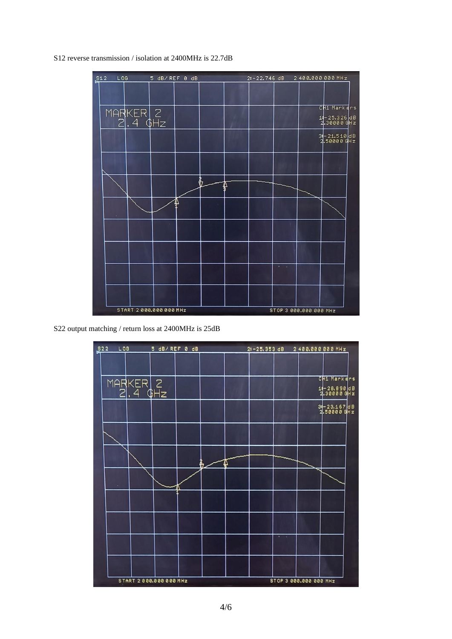S12 reverse transmission / isolation at 2400MHz is 22.7dB



S22 output matching / return loss at 2400MHz is 25dB

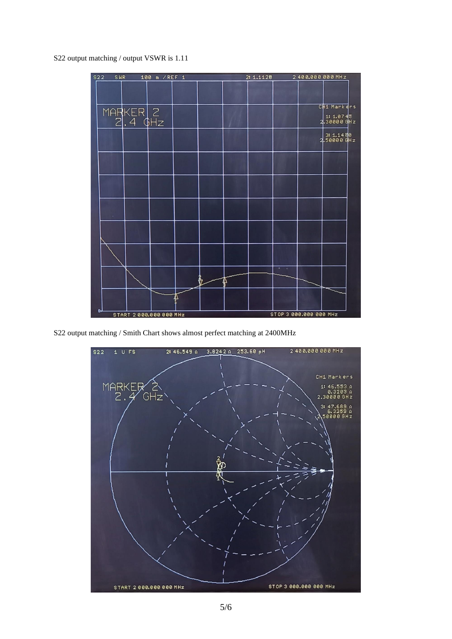S22 output matching / output VSWR is 1.11



S22 output matching / Smith Chart shows almost perfect matching at 2400MHz